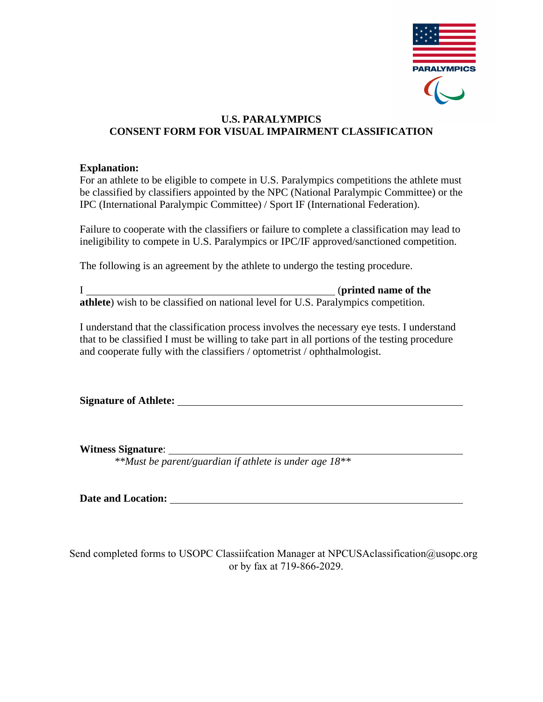

# **U.S. PARALYMPICS CONSENT FORM FOR VISUAL IMPAIRMENT CLASSIFICATION**

# **Explanation:**

For an athlete to be eligible to compete in U.S. Paralympics competitions the athlete must be classified by classifiers appointed by the NPC (National Paralympic Committee) or the IPC (International Paralympic Committee) / Sport IF (International Federation).

Failure to cooperate with the classifiers or failure to complete a classification may lead to ineligibility to compete in U.S. Paralympics or IPC/IF approved/sanctioned competition.

The following is an agreement by the athlete to undergo the testing procedure.

I (**printed name of the athlete**) wish to be classified on national level for U.S. Paralympics competition.

I understand that the classification process involves the necessary eye tests. I understand that to be classified I must be willing to take part in all portions of the testing procedure and cooperate fully with the classifiers / optometrist / ophthalmologist.

**Signature of Athlete:**

**Witness Signature**:

 *\*\*Must be parent/guardian if athlete is under age 18\*\** 

**Date and Location:**

Send completed forms to USOPC Classiifcation Manager at NPCUSAclassification@usopc.org or by fax at 719-866-2029.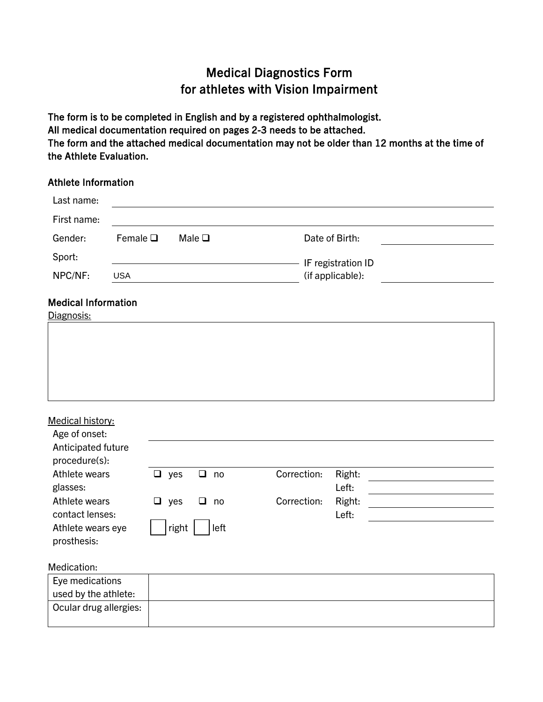# Medical Diagnostics Form for athletes with Vision Impairment

The form is to be completed in English and by a registered ophthalmologist. All medical documentation required on pages 2-3 needs to be attached. The form and the attached medical documentation may not be older than 12 months at the time of the Athlete Evaluation.

# Athlete Information

| Last name:                               |                  |            |                |             |                    |  |
|------------------------------------------|------------------|------------|----------------|-------------|--------------------|--|
| First name:                              |                  |            |                |             |                    |  |
| Gender:                                  | Female $\square$ |            | Male $\square$ |             | Date of Birth:     |  |
| Sport:                                   |                  |            |                |             | IF registration ID |  |
| NPC/NF:                                  | <b>USA</b>       |            |                |             | (if applicable):   |  |
| <b>Medical Information</b><br>Diagnosis: |                  |            |                |             |                    |  |
|                                          |                  |            |                |             |                    |  |
|                                          |                  |            |                |             |                    |  |
|                                          |                  |            |                |             |                    |  |
| Medical history:                         |                  |            |                |             |                    |  |
| Age of onset:                            |                  |            |                |             |                    |  |
| Anticipated future                       |                  |            |                |             |                    |  |
| procedure(s):                            |                  |            |                |             |                    |  |
| Athlete wears                            |                  | $\Box$ yes | $\Box$<br>no   | Correction: | Right:             |  |
| glasses:                                 |                  |            |                |             | Left:              |  |
| Athlete wears                            |                  | $\Box$ yes | ❏<br>no        | Correction: | Right:             |  |
| contact lenses:                          |                  |            |                |             | Left:              |  |
| Athlete wears eye                        |                  | right      | left           |             |                    |  |
| prosthesis:                              |                  |            |                |             |                    |  |
| Medication:                              |                  |            |                |             |                    |  |
| Eye medications                          |                  |            |                |             |                    |  |
| used by the athlete:                     |                  |            |                |             |                    |  |
| Ocular drug allergies:                   |                  |            |                |             |                    |  |
|                                          |                  |            |                |             |                    |  |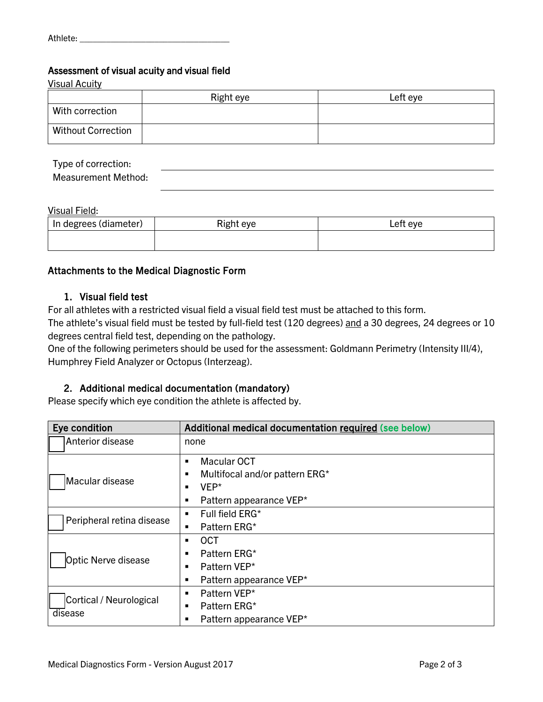## Assessment of visual acuity and visual field

Visual Acuity Right eye and  $\qquad$  Left eye With correction Without Correction

| Type of correction:        |  |
|----------------------------|--|
| <b>Measurement Method:</b> |  |

#### Visual Field:

| In degrees (diameter) | Right eye | ∟eft eve |
|-----------------------|-----------|----------|
|                       |           |          |

## Attachments to the Medical Diagnostic Form

## 1. Visual field test

For all athletes with a restricted visual field a visual field test must be attached to this form.

The athlete's visual field must be tested by full-field test (120 degrees) and a 30 degrees, 24 degrees or 10 degrees central field test, depending on the pathology.

One of the following perimeters should be used for the assessment: Goldmann Perimetry (Intensity III/4), Humphrey Field Analyzer or Octopus (Interzeag).

## 2. Additional medical documentation (mandatory)

Please specify which eye condition the athlete is affected by.

| Eye condition             | Additional medical documentation required (see below) |  |  |  |
|---------------------------|-------------------------------------------------------|--|--|--|
| Anterior disease          | none                                                  |  |  |  |
|                           | Macular OCT<br>$\blacksquare$                         |  |  |  |
| Macular disease           | Multifocal and/or pattern ERG*<br>п                   |  |  |  |
|                           | VEP*<br>$\blacksquare$                                |  |  |  |
|                           | Pattern appearance VEP*<br>٠                          |  |  |  |
| Peripheral retina disease | Full field ERG*<br>٠                                  |  |  |  |
|                           | Pattern ERG*<br>٠                                     |  |  |  |
|                           | <b>OCT</b><br>٠                                       |  |  |  |
|                           | Pattern ERG*                                          |  |  |  |
| Optic Nerve disease       | Pattern VEP*<br>٠                                     |  |  |  |
|                           | Pattern appearance VEP*<br>٠                          |  |  |  |
| Cortical / Neurological   | Pattern VEP*<br>$\blacksquare$                        |  |  |  |
|                           | Pattern ERG*<br>$\blacksquare$                        |  |  |  |
| disease                   | Pattern appearance VEP*<br>٠                          |  |  |  |